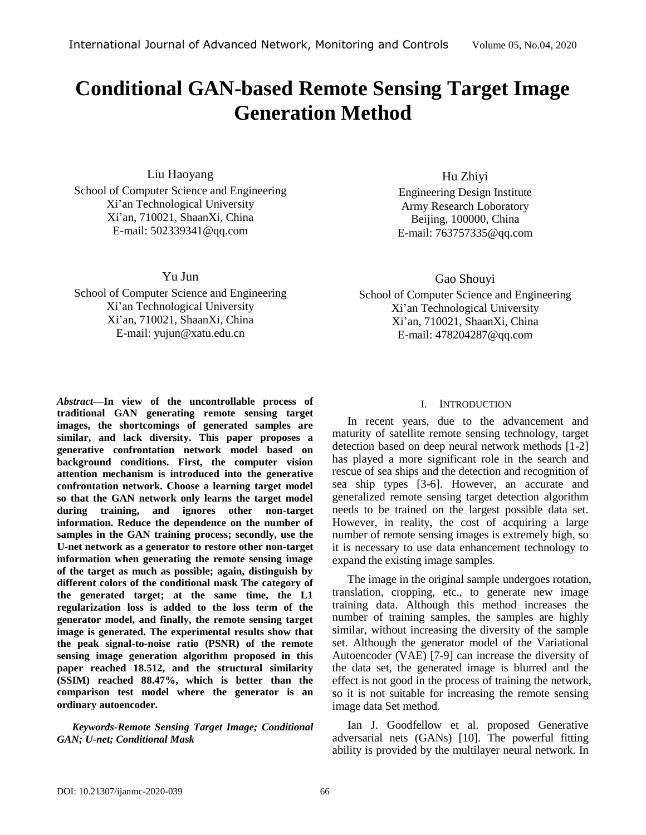# **Conditional GAN-based Remote Sensing Target Image Generation Method**

Liu Haoyang School of Computer Science and Engineering Xi'an Technological University Xi'an, 710021, ShaanXi, China E-mail: 502339341@qq.com

Yu Jun

School of Computer Science and Engineering Xi'an Technological University Xi'an, 710021, ShaanXi, China E-mail: [yujun@xatu.edu.cn](mailto:yujun@xatu.edu.cn)

*Abstract—***In view of the uncontrollable process of traditional GAN generating remote sensing target images, the shortcomings of generated samples are similar, and lack diversity. This paper proposes a generative confrontation network model based on background conditions. First, the computer vision attention mechanism is introduced into the generative confrontation network. Choose a learning target model so that the GAN network only learns the target model during training, and ignores other non-target information. Reduce the dependence on the number of samples in the GAN training process; secondly, use the U-net network as a generator to restore other non-target information when generating the remote sensing image of the target as much as possible; again, distinguish by different colors of the conditional mask The category of the generated target; at the same time, the L1 regularization loss is added to the loss term of the generator model, and finally, the remote sensing target image is generated. The experimental results show that the peak signal-to-noise ratio (PSNR) of the remote sensing image generation algorithm proposed in this paper reached 18.512, and the structural similarity (SSIM) reached 88.47%, which is better than the comparison test model where the generator is an ordinary autoencoder.**

*Keywords-Remote Sensing Target Image; Conditional GAN; U-net; Conditional Mask*

Hu Zhiyi

Engineering Design Institute Army Research Loboratory Beijing, 100000, China E-mail[: 763757335@qq.com](mailto:763757335@qq.com)

Gao Shouyi

School of Computer Science and Engineering Xi'an Technological University Xi'an, 710021, ShaanXi, China E-mail: 478204287@qq.com

# I. INTRODUCTION

In recent years, due to the advancement and maturity of satellite remote sensing technology, target detection based on deep neural network methods [1-2] has played a more significant role in the search and rescue of sea ships and the detection and recognition of sea ship types [3-6]. However, an accurate and generalized remote sensing target detection algorithm needs to be trained on the largest possible data set. However, in reality, the cost of acquiring a large number of remote sensing images is extremely high, so it is necessary to use data enhancement technology to expand the existing image samples.

The image in the original sample undergoes rotation, translation, cropping, etc., to generate new image training data. Although this method increases the number of training samples, the samples are highly similar, without increasing the diversity of the sample set. Although the generator model of the Variational Autoencoder (VAE) [7-9] can increase the diversity of the data set, the generated image is blurred and the effect is not good in the process of training the network, so it is not suitable for increasing the remote sensing image data Set method.

Ian J. Goodfellow et al. proposed Generative adversarial nets (GANs) [10]. The powerful fitting ability is provided by the multilayer neural network. In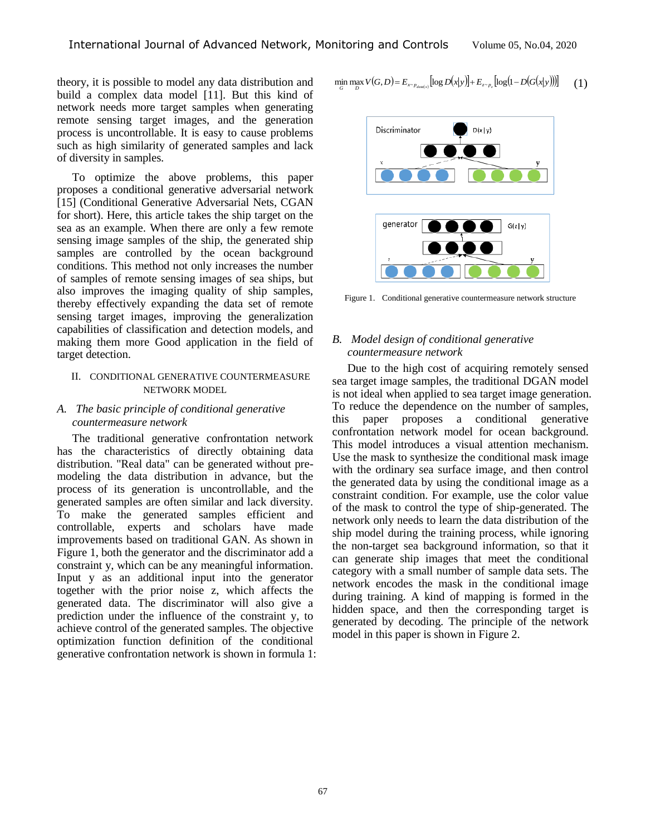theory, it is possible to model any data distribution and build a complex data model [11]. But this kind of network needs more target samples when generating remote sensing target images, and the generation process is uncontrollable. It is easy to cause problems such as high similarity of generated samples and lack of diversity in samples.

To optimize the above problems, this paper proposes a conditional generative adversarial network [15] (Conditional Generative Adversarial Nets, CGAN for short). Here, this article takes the ship target on the sea as an example. When there are only a few remote sensing image samples of the ship, the generated ship samples are controlled by the ocean background conditions. This method not only increases the number of samples of remote sensing images of sea ships, but also improves the imaging quality of ship samples, thereby effectively expanding the data set of remote sensing target images, improving the generalization capabilities of classification and detection models, and making them more Good application in the field of target detection.

## II. CONDITIONAL GENERATIVE COUNTERMEASURE NETWORK MODEL

# *A. The basic principle of conditional generative countermeasure network*

The traditional generative confrontation network has the characteristics of directly obtaining data distribution. "Real data" can be generated without premodeling the data distribution in advance, but the process of its generation is uncontrollable, and the generated samples are often similar and lack diversity. To make the generated samples efficient and controllable, experts and scholars have made improvements based on traditional GAN. As shown in Figure 1, both the generator and the discriminator add a constraint y, which can be any meaningful information. Input y as an additional input into the generator together with the prior noise z, which affects the generated data. The discriminator will also give a prediction under the influence of the constraint y, to achieve control of the generated samples. The objective optimization function definition of the conditional generative confrontation network is shown in formula 1:

$$
\min_{G} \max_{D} V(G, D) = E_{x \sim p_{data}(x)} [\log D(x|y)] + E_{z \sim p_{z}} [\log (1 - D(G(x|y)))] \tag{1}
$$



Figure 1. Conditional generative countermeasure network structure

## *B. Model design of conditional generative countermeasure network*

Due to the high cost of acquiring remotely sensed sea target image samples, the traditional DGAN model is not ideal when applied to sea target image generation. To reduce the dependence on the number of samples, this paper proposes a conditional generative confrontation network model for ocean background. This model introduces a visual attention mechanism. Use the mask to synthesize the conditional mask image with the ordinary sea surface image, and then control the generated data by using the conditional image as a constraint condition. For example, use the color value of the mask to control the type of ship-generated. The network only needs to learn the data distribution of the ship model during the training process, while ignoring the non-target sea background information, so that it can generate ship images that meet the conditional category with a small number of sample data sets. The network encodes the mask in the conditional image during training. A kind of mapping is formed in the hidden space, and then the corresponding target is generated by decoding. The principle of the network model in this paper is shown in Figure 2.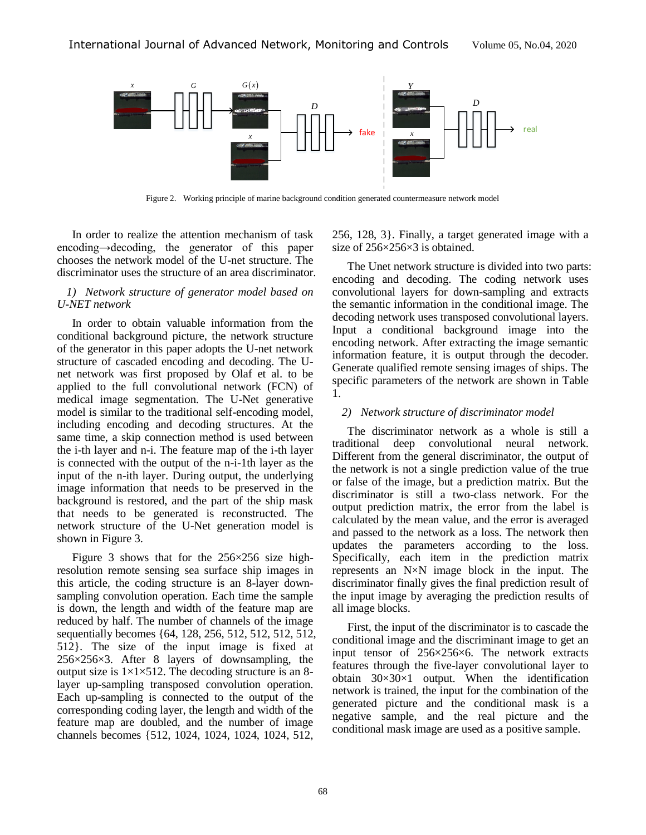

Figure 2. Working principle of marine background condition generated countermeasure network model

In order to realize the attention mechanism of task encoding→decoding, the generator of this paper chooses the network model of the U-net structure. The discriminator uses the structure of an area discriminator.

## *1) Network structure of generator model based on U-NET network*

In order to obtain valuable information from the conditional background picture, the network structure of the generator in this paper adopts the U-net network structure of cascaded encoding and decoding. The Unet network was first proposed by Olaf et al. to be applied to the full convolutional network (FCN) of medical image segmentation. The U-Net generative model is similar to the traditional self-encoding model, including encoding and decoding structures. At the same time, a skip connection method is used between the i-th layer and n-i. The feature map of the i-th layer is connected with the output of the n-i-1th layer as the input of the n-ith layer. During output, the underlying image information that needs to be preserved in the background is restored, and the part of the ship mask that needs to be generated is reconstructed. The network structure of the U-Net generation model is shown in Figure 3.

Figure 3 shows that for the  $256\times256$  size highresolution remote sensing sea surface ship images in this article, the coding structure is an 8-layer downsampling convolution operation. Each time the sample is down, the length and width of the feature map are reduced by half. The number of channels of the image sequentially becomes {64, 128, 256, 512, 512, 512, 512, 512}. The size of the input image is fixed at  $256\times256\times3$ . After 8 layers of downsampling, the output size is  $1 \times 1 \times 512$ . The decoding structure is an 8layer up-sampling transposed convolution operation. Each up-sampling is connected to the output of the corresponding coding layer, the length and width of the feature map are doubled, and the number of image channels becomes {512, 1024, 1024, 1024, 1024, 512,

256, 128, 3}. Finally, a target generated image with a size of  $256\times256\times3$  is obtained.

The Unet network structure is divided into two parts: encoding and decoding. The coding network uses convolutional layers for down-sampling and extracts the semantic information in the conditional image. The decoding network uses transposed convolutional layers. Input a conditional background image into the encoding network. After extracting the image semantic information feature, it is output through the decoder. Generate qualified remote sensing images of ships. The specific parameters of the network are shown in Table 1.

# *2) Network structure of discriminator model*

The discriminator network as a whole is still a traditional deep convolutional neural network. Different from the general discriminator, the output of the network is not a single prediction value of the true or false of the image, but a prediction matrix. But the discriminator is still a two-class network. For the output prediction matrix, the error from the label is calculated by the mean value, and the error is averaged and passed to the network as a loss. The network then updates the parameters according to the loss. Specifically, each item in the prediction matrix represents an N×N image block in the input. The discriminator finally gives the final prediction result of the input image by averaging the prediction results of all image blocks.

First, the input of the discriminator is to cascade the conditional image and the discriminant image to get an input tensor of 256×256×6. The network extracts features through the five-layer convolutional layer to obtain  $30\times30\times1$  output. When the identification network is trained, the input for the combination of the generated picture and the conditional mask is a negative sample, and the real picture and the conditional mask image are used as a positive sample.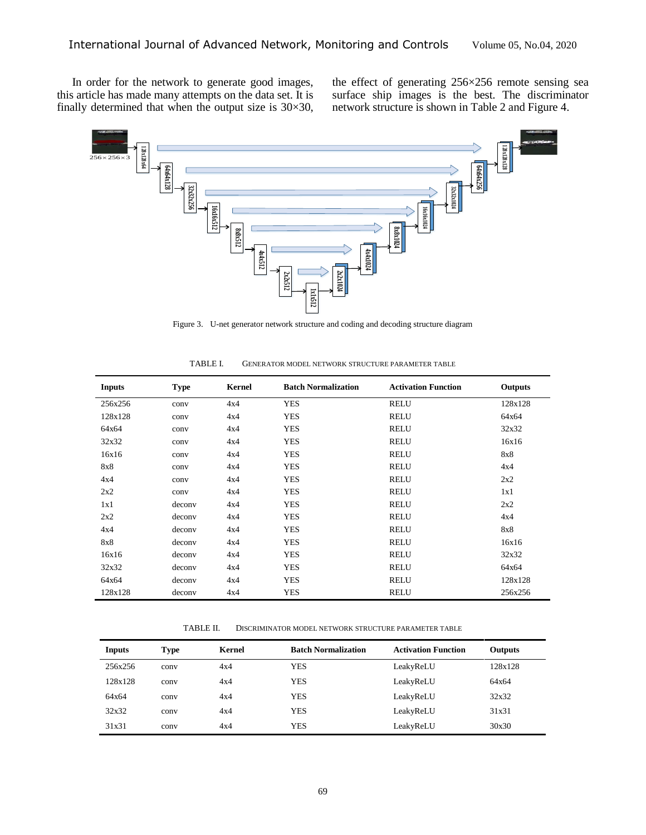In order for the network to generate good images, this article has made many attempts on the data set. It is finally determined that when the output size is  $30 \times 30$ ,

the effect of generating  $256 \times 256$  remote sensing sea surface ship images is the best. The discriminator network structure is shown in Table 2 and Figure 4.



Figure 3. U-net generator network structure and coding and decoding structure diagram

| <b>Inputs</b> | <b>Type</b> | Kernel | <b>Batch Normalization</b> | <b>Activation Function</b> | Outputs |
|---------------|-------------|--------|----------------------------|----------------------------|---------|
| 256x256       | conv        | 4x4    | <b>YES</b>                 | <b>RELU</b>                | 128x128 |
| 128x128       | conv        | 4x4    | <b>YES</b>                 | <b>RELU</b>                | 64x64   |
| 64x64         | conv        | 4x4    | <b>YES</b>                 | <b>RELU</b>                | 32x32   |
| 32x32         | conv        | 4x4    | <b>YES</b>                 | <b>RELU</b>                | 16x16   |
| 16x16         | conv        | 4x4    | <b>YES</b>                 | <b>RELU</b>                | 8x8     |
| 8x8           | conv        | 4x4    | <b>YES</b>                 | <b>RELU</b>                | 4x4     |
| 4x4           | conv        | 4x4    | <b>YES</b>                 | <b>RELU</b>                | 2x2     |
| 2x2           | conv        | 4x4    | <b>YES</b>                 | <b>RELU</b>                | 1x1     |
| 1x1           | deconv      | 4x4    | <b>YES</b>                 | <b>RELU</b>                | 2x2     |
| 2x2           | deconv      | 4x4    | <b>YES</b>                 | <b>RELU</b>                | 4x4     |
| 4x4           | deconv      | 4x4    | <b>YES</b>                 | <b>RELU</b>                | 8x8     |
| 8x8           | deconv      | 4x4    | <b>YES</b>                 | <b>RELU</b>                | 16x16   |
| 16x16         | deconv      | 4x4    | <b>YES</b>                 | <b>RELU</b>                | 32x32   |
| 32x32         | deconv      | 4x4    | <b>YES</b>                 | <b>RELU</b>                | 64x64   |
| 64x64         | deconv      | 4x4    | <b>YES</b>                 | <b>RELU</b>                | 128x128 |
| 128x128       | deconv      | 4x4    | <b>YES</b>                 | <b>RELU</b>                | 256x256 |

| TABLE I. | GENERATOR MODEL NETWORK STRUCTURE PARAMETER TABLE |  |
|----------|---------------------------------------------------|--|
|          |                                                   |  |

TABLE II. DISCRIMINATOR MODEL NETWORK STRUCTURE PARAMETER TABLE

| Inputs  | Type | Kernel | <b>Batch Normalization</b> | <b>Activation Function</b> | <b>Outputs</b> |
|---------|------|--------|----------------------------|----------------------------|----------------|
| 256x256 | conv | 4x4    | YES                        | LeakyReLU                  | 128x128        |
| 128x128 | conv | 4x4    | <b>YES</b>                 | LeakyReLU                  | 64x64          |
| 64x64   | conv | 4x4    | YES                        | LeakyReLU                  | 32x32          |
| 32x32   | conv | 4x4    | YES                        | LeakyReLU                  | 31x31          |
| 31x31   | conv | 4x4    | YES                        | LeakyReLU                  | 30x30          |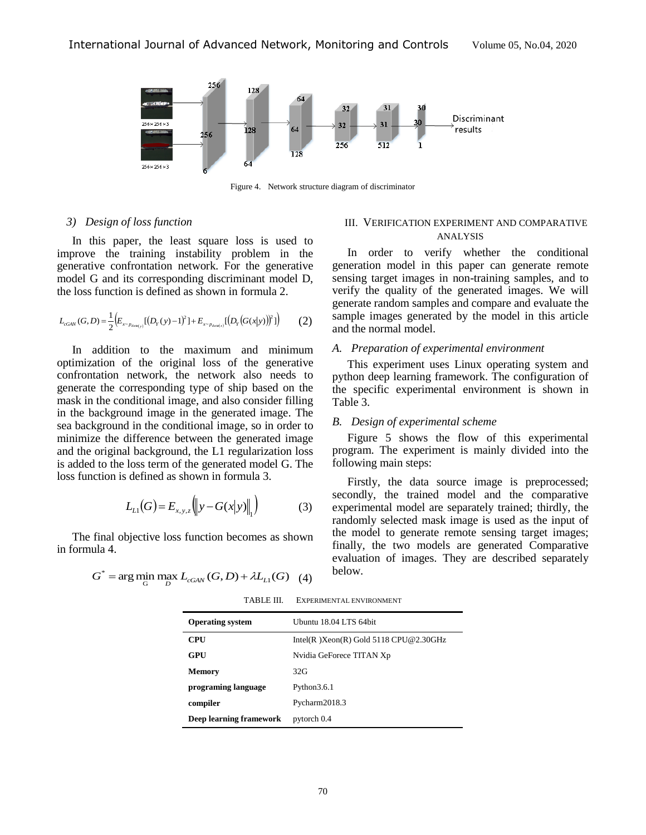

Figure 4. Network structure diagram of discriminator

## *3) Design of loss function*

In this paper, the least square loss is used to improve the training instability problem in the generative confrontation network. For the generative model G and its corresponding discriminant model D, the loss function is defined as shown in formula 2.

$$
L_{cGM}(G,D) = \frac{1}{2} \Big( E_{x \sim p_{data(y)}} [(D_Y(y) - 1)^2] + E_{x \sim p_{data(y)}} [(D_Y(G(x|y))]^2] \Big)
$$
 (2)

In addition to the maximum and minimum optimization of the original loss of the generative confrontation network, the network also needs to generate the corresponding type of ship based on the mask in the conditional image, and also consider filling in the background image in the generated image. The sea background in the conditional image, so in order to minimize the difference between the generated image and the original background, the L1 regularization loss is added to the loss term of the generated model G. The loss function is defined as shown in formula 3.

$$
L_{L1}(G) = E_{x,y,z} \left( \left\| y - G(x|y) \right\|_{1} \right)
$$
 (3)

The final objective loss function becomes as shown in formula 4.

$$
G^* = \arg\min_G \max_D L_{cGAN}(G, D) + \lambda L_{L1}(G) \quad (4)
$$

### III. VERIFICATION EXPERIMENT AND COMPARATIVE ANALYSIS

In order to verify whether the conditional generation model in this paper can generate remote sensing target images in non-training samples, and to verify the quality of the generated images. We will generate random samples and compare and evaluate the sample images generated by the model in this article and the normal model.

#### *A. Preparation of experimental environment*

This experiment uses Linux operating system and python deep learning framework. The configuration of the specific experimental environment is shown in Table 3.

#### *B. Design of experimental scheme*

Figure 5 shows the flow of this experimental program. The experiment is mainly divided into the following main steps:

Firstly, the data source image is preprocessed; secondly, the trained model and the comparative experimental model are separately trained; thirdly, the randomly selected mask image is used as the input of the model to generate remote sensing target images; finally, the two models are generated Comparative evaluation of images. They are described separately below.

| <b>Operating system</b> | Ubuntu 18.04 LTS 64bit                   |
|-------------------------|------------------------------------------|
| <b>CPU</b>              | Intel(R) $Xeon(R)$ Gold 5118 CPU@2.30GHz |
| GPU                     | Nvidia GeForece TITAN Xp                 |
| <b>Memory</b>           | 32G                                      |
| programing language     | Python 3.6.1                             |
| compiler                | Pycharm2018.3                            |
| Deep learning framework | pytorch 0.4                              |

TABLE III. EXPERIMENTAL ENVIRONMENT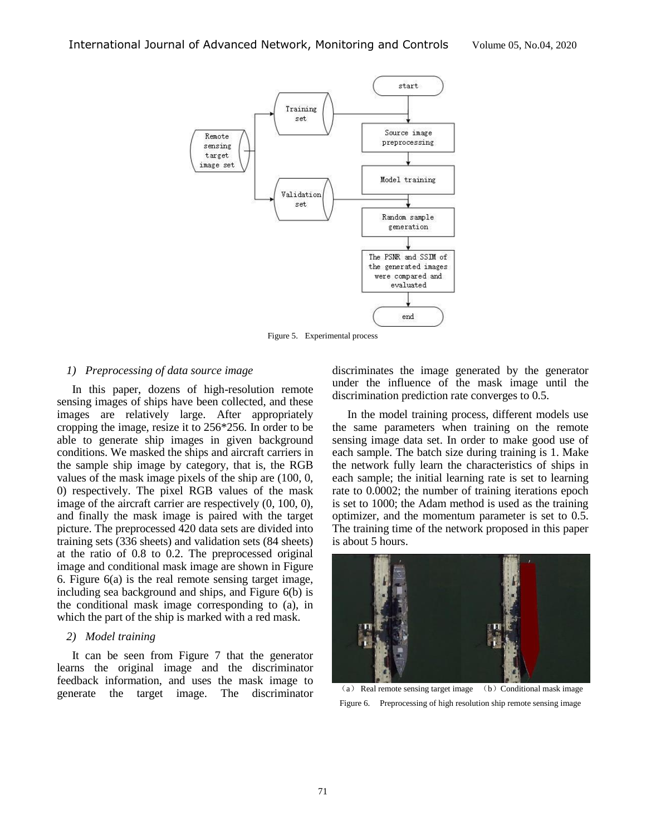

Figure 5. Experimental process

### *1) Preprocessing of data source image*

In this paper, dozens of high-resolution remote sensing images of ships have been collected, and these images are relatively large. After appropriately cropping the image, resize it to 256\*256. In order to be able to generate ship images in given background conditions. We masked the ships and aircraft carriers in the sample ship image by category, that is, the RGB values of the mask image pixels of the ship are (100, 0, 0) respectively. The pixel RGB values of the mask image of the aircraft carrier are respectively (0, 100, 0), and finally the mask image is paired with the target picture. The preprocessed 420 data sets are divided into training sets (336 sheets) and validation sets (84 sheets) at the ratio of 0.8 to 0.2. The preprocessed original image and conditional mask image are shown in Figure 6. Figure 6(a) is the real remote sensing target image, including sea background and ships, and Figure 6(b) is the conditional mask image corresponding to (a), in which the part of the ship is marked with a red mask.

## *2) Model training*

It can be seen from Figure 7 that the generator learns the original image and the discriminator feedback information, and uses the mask image to generate the target image. The discriminator discriminates the image generated by the generator under the influence of the mask image until the discrimination prediction rate converges to 0.5.

In the model training process, different models use the same parameters when training on the remote sensing image data set. In order to make good use of each sample. The batch size during training is 1. Make the network fully learn the characteristics of ships in each sample; the initial learning rate is set to learning rate to 0.0002; the number of training iterations epoch is set to 1000; the Adam method is used as the training optimizer, and the momentum parameter is set to 0.5. The training time of the network proposed in this paper is about 5 hours.



(a) Real remote sensing target image (b) Conditional mask image Figure 6. Preprocessing of high resolution ship remote sensing image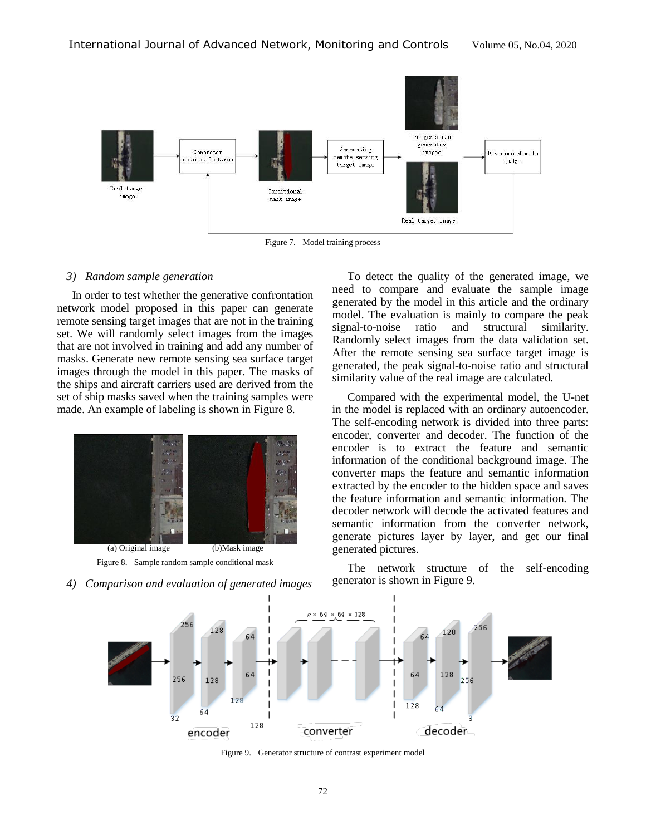

Figure 7. Model training process

#### *3) Random sample generation*

In order to test whether the generative confrontation network model proposed in this paper can generate remote sensing target images that are not in the training set. We will randomly select images from the images that are not involved in training and add any number of masks. Generate new remote sensing sea surface target images through the model in this paper. The masks of the ships and aircraft carriers used are derived from the set of ship masks saved when the training samples were made. An example of labeling is shown in Figure 8.



Figure 8. Sample random sample conditional mask

*4) Comparison and evaluation of generated images*

To detect the quality of the generated image, we need to compare and evaluate the sample image generated by the model in this article and the ordinary model. The evaluation is mainly to compare the peak signal-to-noise ratio and structural similarity. Randomly select images from the data validation set. After the remote sensing sea surface target image is generated, the peak signal-to-noise ratio and structural similarity value of the real image are calculated.

Compared with the experimental model, the U-net in the model is replaced with an ordinary autoencoder. The self-encoding network is divided into three parts: encoder, converter and decoder. The function of the encoder is to extract the feature and semantic information of the conditional background image. The converter maps the feature and semantic information extracted by the encoder to the hidden space and saves the feature information and semantic information. The decoder network will decode the activated features and semantic information from the converter network, generate pictures layer by layer, and get our final generated pictures.

The network structure of the self-encoding generator is shown in Figure 9.



Figure 9. Generator structure of contrast experiment model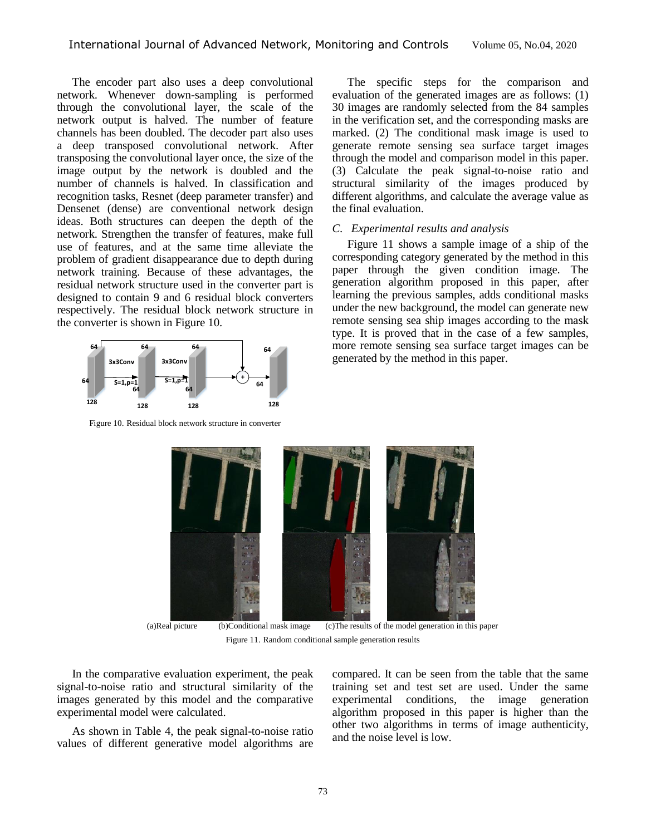The encoder part also uses a deep convolutional network. Whenever down-sampling is performed through the convolutional layer, the scale of the network output is halved. The number of feature channels has been doubled. The decoder part also uses a deep transposed convolutional network. After transposing the convolutional layer once, the size of the image output by the network is doubled and the number of channels is halved. In classification and recognition tasks, Resnet (deep parameter transfer) and Densenet (dense) are conventional network design ideas. Both structures can deepen the depth of the network. Strengthen the transfer of features, make full use of features, and at the same time alleviate the problem of gradient disappearance due to depth during network training. Because of these advantages, the residual network structure used in the converter part is designed to contain 9 and 6 residual block converters respectively. The residual block network structure in the converter is shown in Figure 10.



Figure 10. Residual block network structure in converter

The specific steps for the comparison and evaluation of the generated images are as follows: (1) 30 images are randomly selected from the 84 samples in the verification set, and the corresponding masks are marked. (2) The conditional mask image is used to generate remote sensing sea surface target images through the model and comparison model in this paper. (3) Calculate the peak signal-to-noise ratio and structural similarity of the images produced by different algorithms, and calculate the average value as the final evaluation.

#### *C. Experimental results and analysis*

Figure 11 shows a sample image of a ship of the corresponding category generated by the method in this paper through the given condition image. The generation algorithm proposed in this paper, after learning the previous samples, adds conditional masks under the new background, the model can generate new remote sensing sea ship images according to the mask type. It is proved that in the case of a few samples, more remote sensing sea surface target images can be generated by the method in this paper.



Figure 11. Random conditional sample generation results

In the comparative evaluation experiment, the peak signal-to-noise ratio and structural similarity of the images generated by this model and the comparative experimental model were calculated.

As shown in Table 4, the peak signal-to-noise ratio values of different generative model algorithms are

compared. It can be seen from the table that the same training set and test set are used. Under the same experimental conditions, the image generation algorithm proposed in this paper is higher than the other two algorithms in terms of image authenticity, and the noise level is low.